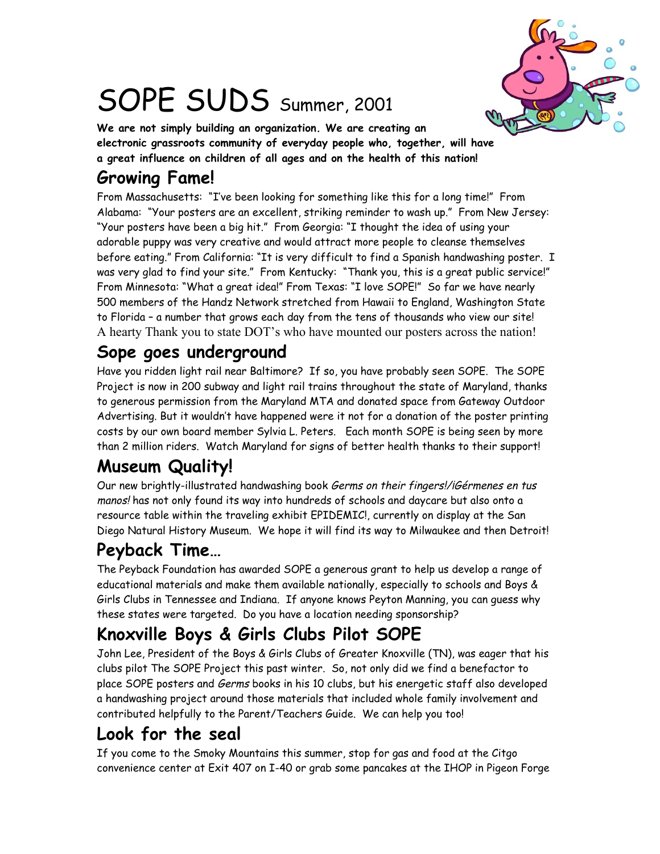

# SOPE SUDS Summer, 2001

**We are not simply building an organization. We are creating an electronic grassroots community of everyday people who, together, will have a great influence on children of all ages and on the health of this nation!**

# **Growing Fame!**

From Massachusetts: "I've been looking for something like this for a long time!" From Alabama: "Your posters are an excellent, striking reminder to wash up." From New Jersey: "Your posters have been a big hit." From Georgia: "I thought the idea of using your adorable puppy was very creative and would attract more people to cleanse themselves before eating." From California: "It is very difficult to find a Spanish handwashing poster. I was very glad to find your site." From Kentucky: "Thank you, this is a great public service!" From Minnesota: "What a great idea!" From Texas: "I love SOPE!" So far we have nearly 500 members of the Handz Network stretched from Hawaii to England, Washington State to Florida – a number that grows each day from the tens of thousands who view our site! A hearty Thank you to state DOT's who have mounted our posters across the nation!

### **Sope goes underground**

Have you ridden light rail near Baltimore? If so, you have probably seen SOPE. The SOPE Project is now in 200 subway and light rail trains throughout the state of Maryland, thanks to generous permission from the Maryland MTA and donated space from Gateway Outdoor Advertising. But it wouldn't have happened were it not for a donation of the poster printing costs by our own board member Sylvia L. Peters. Each month SOPE is being seen by more than 2 million riders. Watch Maryland for signs of better health thanks to their support!

# **Museum Quality!**

Our new brightly-illustrated handwashing book Germs on their fingers!/iGérmenes en tus manos! has not only found its way into hundreds of schools and daycare but also onto a resource table within the traveling exhibit EPIDEMIC!, currently on display at the San Diego Natural History Museum. We hope it will find its way to Milwaukee and then Detroit!

# **Peyback Time…**

The Peyback Foundation has awarded SOPE a generous grant to help us develop a range of educational materials and make them available nationally, especially to schools and Boys & Girls Clubs in Tennessee and Indiana. If anyone knows Peyton Manning, you can guess why these states were targeted. Do you have a location needing sponsorship?

# **Knoxville Boys & Girls Clubs Pilot SOPE**

John Lee, President of the Boys & Girls Clubs of Greater Knoxville (TN), was eager that his clubs pilot The SOPE Project this past winter. So, not only did we find a benefactor to place SOPE posters and Germs books in his 10 clubs, but his energetic staff also developed a handwashing project around those materials that included whole family involvement and contributed helpfully to the Parent/Teachers Guide. We can help you too!

# **Look for the seal**

If you come to the Smoky Mountains this summer, stop for gas and food at the Citgo convenience center at Exit 407 on I-40 or grab some pancakes at the IHOP in Pigeon Forge